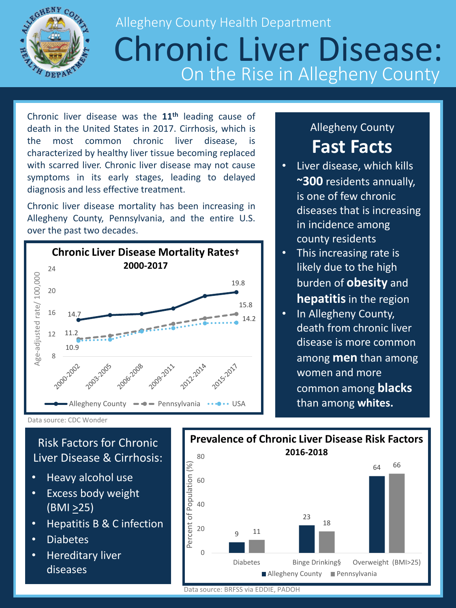

## Allegheny County Health Department Chronic Liver Disease: On the Rise in Allegheny County

Chronic liver disease was the **11th** leading cause of death in the United States in 2017. Cirrhosis, which is the most common chronic liver disease, is characterized by healthy liver tissue becoming replaced with scarred liver. Chronic liver disease may not cause symptoms in its early stages, leading to delayed diagnosis and less effective treatment.

Chronic liver disease mortality has been increasing in Allegheny County, Pennsylvania, and the entire U.S. over the past two decades.



## Allegheny County **Fast Facts**

- Liver disease, which kills **~300** residents annually, is one of few chronic diseases that is increasing in incidence among county residents
- This increasing rate is likely due to the high burden of **obesity** and **hepatitis**in the region
- In Allegheny County, death from chronic liver disease is more common among **men** than among women and more common among **blacks** than among **whites.**

Risk Factors for Chronic Liver Disease & Cirrhosis:

- Heavy alcohol use
- Excess body weight  $(BMI \geq 25)$
- Hepatitis B & C infection
- Diabetes
- Hereditary liver diseases



Data source: BRFSS via EDDIE, PADOH

Data source: CDC Wonder